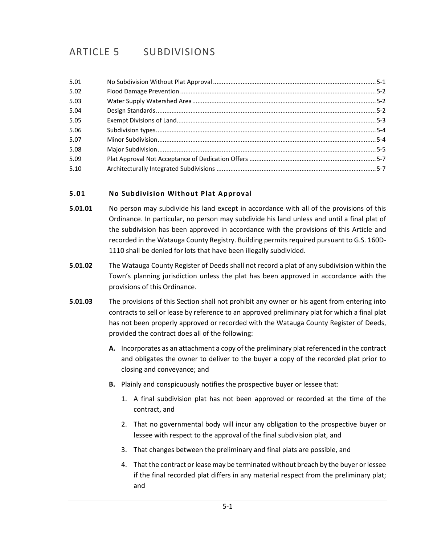# ARTICLE 5 SUBDIVISIONS

| 5.01 |  |
|------|--|
| 5.02 |  |
| 5.03 |  |
| 5.04 |  |
| 5.05 |  |
| 5.06 |  |
| 5.07 |  |
| 5.08 |  |
| 5.09 |  |
| 5.10 |  |

# <span id="page-0-0"></span>**5.01 No Subdivision Without Plat Approval**

- **5.01.01** No person may subdivide his land except in accordance with all of the provisions of this Ordinance. In particular, no person may subdivide his land unless and until a final plat of the subdivision has been approved in accordance with the provisions of this Article and recorded in the Watauga County Registry. Building permits required pursuant to G.S. 160D-1110 shall be denied for lots that have been illegally subdivided.
- **5.01.02** The Watauga County Register of Deeds shall not record a plat of any subdivision within the Town's planning jurisdiction unless the plat has been approved in accordance with the provisions of this Ordinance.
- **5.01.03** The provisions of this Section shall not prohibit any owner or his agent from entering into contracts to sell or lease by reference to an approved preliminary plat for which a final plat has not been properly approved or recorded with the Watauga County Register of Deeds, provided the contract does all of the following:
	- **A.** Incorporates as an attachment a copy of the preliminary plat referenced in the contract and obligates the owner to deliver to the buyer a copy of the recorded plat prior to closing and conveyance; and
	- **B.** Plainly and conspicuously notifies the prospective buyer or lessee that:
		- 1. A final subdivision plat has not been approved or recorded at the time of the contract, and
		- 2. That no governmental body will incur any obligation to the prospective buyer or lessee with respect to the approval of the final subdivision plat, and
		- 3. That changes between the preliminary and final plats are possible, and
		- 4. That the contract or lease may be terminated without breach by the buyer or lessee if the final recorded plat differs in any material respect from the preliminary plat; and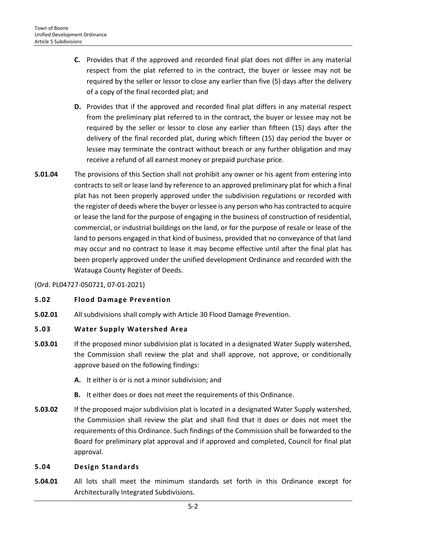- **C.** Provides that if the approved and recorded final plat does not differ in any material respect from the plat referred to in the contract, the buyer or lessee may not be required by the seller or lessor to close any earlier than five (5) days after the delivery of a copy of the final recorded plat; and
- **D.** Provides that if the approved and recorded final plat differs in any material respect from the preliminary plat referred to in the contract, the buyer or lessee may not be required by the seller or lessor to close any earlier than fifteen (15) days after the delivery of the final recorded plat, during which fifteen (15) day period the buyer or lessee may terminate the contract without breach or any further obligation and may receive a refund of all earnest money or prepaid purchase price.
- **5.01.04** The provisions of this Section shall not prohibit any owner or his agent from entering into contracts to sell or lease land by reference to an approved preliminary plat for which a final plat has not been properly approved under the subdivision regulations or recorded with the register of deeds where the buyer or lessee is any person who has contracted to acquire or lease the land for the purpose of engaging in the business of construction of residential, commercial, or industrial buildings on the land, or for the purpose of resale or lease of the land to persons engaged in that kind of business, provided that no conveyance of that land may occur and no contract to lease it may become effective until after the final plat has been properly approved under the unified development Ordinance and recorded with the Watauga County Register of Deeds.

## (Ord. PL04727-050721, 07-01-2021)

#### <span id="page-1-0"></span>**5.02 Flood Damage Prevention**

**5.02.01** All subdivisions shall comply with Article 30 Flood Damage Prevention.

#### <span id="page-1-1"></span>**5.03 Water Supply Watershed Area**

- **5.03.01** If the proposed minor subdivision plat is located in a designated Water Supply watershed, the Commission shall review the plat and shall approve, not approve, or conditionally approve based on the following findings:
	- **A.** It either is or is not a minor subdivision; and
	- **B.** It either does or does not meet the requirements of this Ordinance.
- **5.03.02** If the proposed major subdivision plat is located in a designated Water Supply watershed, the Commission shall review the plat and shall find that it does or does not meet the requirements of this Ordinance. Such findings of the Commission shall be forwarded to the Board for preliminary plat approval and if approved and completed, Council for final plat approval.

#### <span id="page-1-2"></span>**5.04 Design Standards**

**5.04.01** All lots shall meet the minimum standards set forth in this Ordinance except for Architecturally Integrated Subdivisions.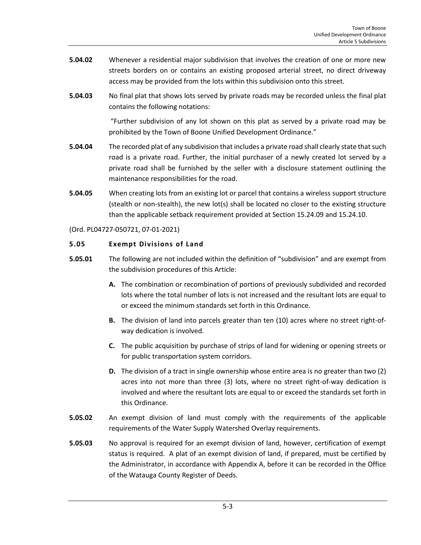- **5.04.02** Whenever a residential major subdivision that involves the creation of one or more new streets borders on or contains an existing proposed arterial street, no direct driveway access may be provided from the lots within this subdivision onto this street.
- **5.04.03** No final plat that shows lots served by private roads may be recorded unless the final plat contains the following notations:

"Further subdivision of any lot shown on this plat as served by a private road may be prohibited by the Town of Boone Unified Development Ordinance."

- **5.04.04** The recorded plat of any subdivision that includes a private road shall clearly state that such road is a private road. Further, the initial purchaser of a newly created lot served by a private road shall be furnished by the seller with a disclosure statement outlining the maintenance responsibilities for the road.
- **5.04.05** When creating lots from an existing lot or parcel that contains a wireless support structure (stealth or non-stealth), the new lot(s) shall be located no closer to the existing structure than the applicable setback requirement provided at Section 15.24.09 and 15.24.10.

## (Ord. PL04727-050721, 07-01-2021)

## <span id="page-2-0"></span>**5.05 Exempt Divisions of Land**

- **5.05.01** The following are not included within the definition of "subdivision" and are exempt from the subdivision procedures of this Article:
	- **A.** The combination or recombination of portions of previously subdivided and recorded lots where the total number of lots is not increased and the resultant lots are equal to or exceed the minimum standards set forth in this Ordinance.
	- **B.** The division of land into parcels greater than ten (10) acres where no street right-ofway dedication is involved.
	- **C.** The public acquisition by purchase of strips of land for widening or opening streets or for public transportation system corridors.
	- **D.** The division of a tract in single ownership whose entire area is no greater than two (2) acres into not more than three (3) lots, where no street right-of-way dedication is involved and where the resultant lots are equal to or exceed the standards set forth in this Ordinance.
- **5.05.02** An exempt division of land must comply with the requirements of the applicable requirements of the Water Supply Watershed Overlay requirements.
- **5.05.03** No approval is required for an exempt division of land, however, certification of exempt status is required. A plat of an exempt division of land, if prepared, must be certified by the Administrator, in accordance with Appendix A, before it can be recorded in the Office of the Watauga County Register of Deeds.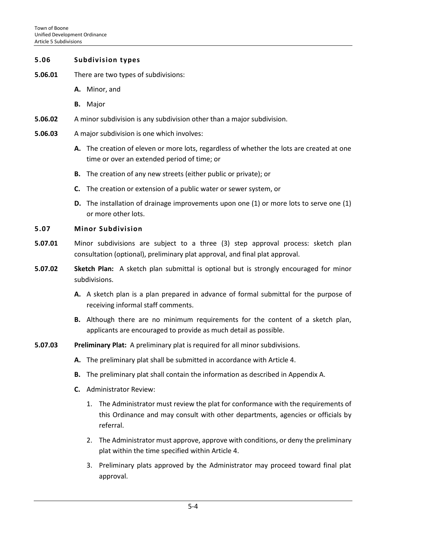#### <span id="page-3-0"></span>**5.06 Subdivision types**

- **5.06.01** There are two types of subdivisions:
	- **A.** Minor, and
	- **B.** Major
- **5.06.02** A minor subdivision is any subdivision other than a major subdivision.
- **5.06.03** A major subdivision is one which involves:
	- **A.** The creation of eleven or more lots, regardless of whether the lots are created at one time or over an extended period of time; or
	- **B.** The creation of any new streets (either public or private); or
	- **C.** The creation or extension of a public water or sewer system, or
	- **D.** The installation of drainage improvements upon one (1) or more lots to serve one (1) or more other lots.

#### <span id="page-3-1"></span>**5.07 Minor Subdivision**

- **5.07.01** Minor subdivisions are subject to a three (3) step approval process: sketch plan consultation (optional), preliminary plat approval, and final plat approval.
- **5.07.02 Sketch Plan:** A sketch plan submittal is optional but is strongly encouraged for minor subdivisions.
	- **A.** A sketch plan is a plan prepared in advance of formal submittal for the purpose of receiving informal staff comments.
	- **B.** Although there are no minimum requirements for the content of a sketch plan, applicants are encouraged to provide as much detail as possible.
- **5.07.03 Preliminary Plat:** A preliminary plat is required for all minor subdivisions.
	- **A.** The preliminary plat shall be submitted in accordance with Article 4.
	- **B.** The preliminary plat shall contain the information as described in Appendix A.
	- **C.** Administrator Review:
		- 1. The Administrator must review the plat for conformance with the requirements of this Ordinance and may consult with other departments, agencies or officials by referral.
		- 2. The Administrator must approve, approve with conditions, or deny the preliminary plat within the time specified within Article 4.
		- 3. Preliminary plats approved by the Administrator may proceed toward final plat approval.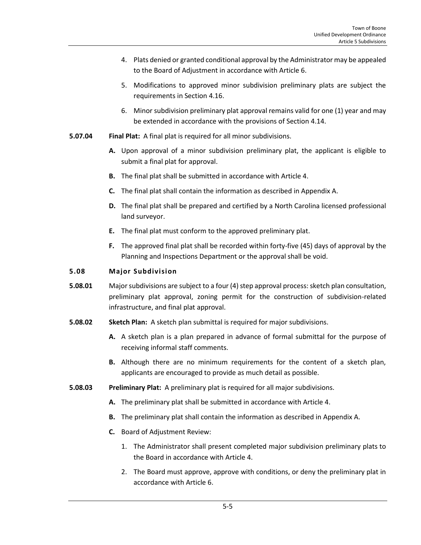- 4. Plats denied or granted conditional approval by the Administrator may be appealed to the Board of Adjustment in accordance with Article 6.
- 5. Modifications to approved minor subdivision preliminary plats are subject the requirements in Section 4.16.
- 6. Minor subdivision preliminary plat approval remains valid for one (1) year and may be extended in accordance with the provisions of Section 4.14.
- **5.07.04 Final Plat:** A final plat is required for all minor subdivisions.
	- **A.** Upon approval of a minor subdivision preliminary plat, the applicant is eligible to submit a final plat for approval.
	- **B.** The final plat shall be submitted in accordance with Article 4.
	- **C.** The final plat shall contain the information as described in Appendix A.
	- **D.** The final plat shall be prepared and certified by a North Carolina licensed professional land surveyor.
	- **E.** The final plat must conform to the approved preliminary plat.
	- **F.** The approved final plat shall be recorded within forty-five (45) days of approval by the Planning and Inspections Department or the approval shall be void.

## <span id="page-4-0"></span>**5.08 Major Subdivision**

- **5.08.01** Major subdivisions are subject to a four (4) step approval process: sketch plan consultation, preliminary plat approval, zoning permit for the construction of subdivision-related infrastructure, and final plat approval.
- **5.08.02 Sketch Plan:** A sketch plan submittal is required for major subdivisions.
	- **A.** A sketch plan is a plan prepared in advance of formal submittal for the purpose of receiving informal staff comments.
	- **B.** Although there are no minimum requirements for the content of a sketch plan, applicants are encouraged to provide as much detail as possible.
- **5.08.03 Preliminary Plat:** A preliminary plat is required for all major subdivisions.
	- **A.** The preliminary plat shall be submitted in accordance with Article 4.
	- **B.** The preliminary plat shall contain the information as described in Appendix A.
	- **C.** Board of Adjustment Review:
		- 1. The Administrator shall present completed major subdivision preliminary plats to the Board in accordance with Article 4.
		- 2. The Board must approve, approve with conditions, or deny the preliminary plat in accordance with Article 6.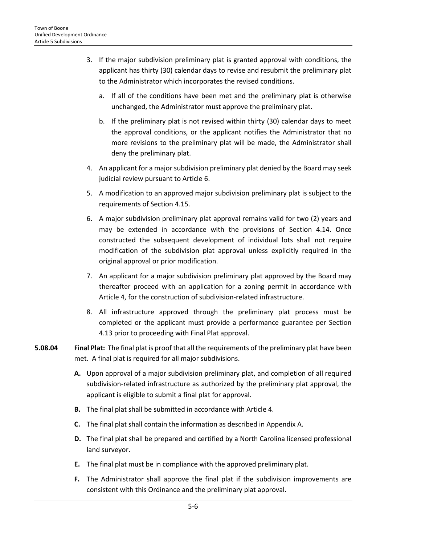- 3. If the major subdivision preliminary plat is granted approval with conditions, the applicant has thirty (30) calendar days to revise and resubmit the preliminary plat to the Administrator which incorporates the revised conditions.
	- a. If all of the conditions have been met and the preliminary plat is otherwise unchanged, the Administrator must approve the preliminary plat.
	- b. If the preliminary plat is not revised within thirty (30) calendar days to meet the approval conditions, or the applicant notifies the Administrator that no more revisions to the preliminary plat will be made, the Administrator shall deny the preliminary plat.
- 4. An applicant for a major subdivision preliminary plat denied by the Board may seek judicial review pursuant to Article 6.
- 5. A modification to an approved major subdivision preliminary plat is subject to the requirements of Section 4.15.
- 6. A major subdivision preliminary plat approval remains valid for two (2) years and may be extended in accordance with the provisions of Section 4.14. Once constructed the subsequent development of individual lots shall not require modification of the subdivision plat approval unless explicitly required in the original approval or prior modification.
- 7. An applicant for a major subdivision preliminary plat approved by the Board may thereafter proceed with an application for a zoning permit in accordance with Article 4, for the construction of subdivision-related infrastructure.
- 8. All infrastructure approved through the preliminary plat process must be completed or the applicant must provide a performance guarantee per Section 4.13 prior to proceeding with Final Plat approval.
- **5.08.04 Final Plat:** The final plat is proof that all the requirements of the preliminary plat have been met. A final plat is required for all major subdivisions.
	- **A.** Upon approval of a major subdivision preliminary plat, and completion of all required subdivision-related infrastructure as authorized by the preliminary plat approval, the applicant is eligible to submit a final plat for approval.
	- **B.** The final plat shall be submitted in accordance with Article 4.
	- **C.** The final plat shall contain the information as described in Appendix A.
	- **D.** The final plat shall be prepared and certified by a North Carolina licensed professional land surveyor.
	- **E.** The final plat must be in compliance with the approved preliminary plat.
	- **F.** The Administrator shall approve the final plat if the subdivision improvements are consistent with this Ordinance and the preliminary plat approval.